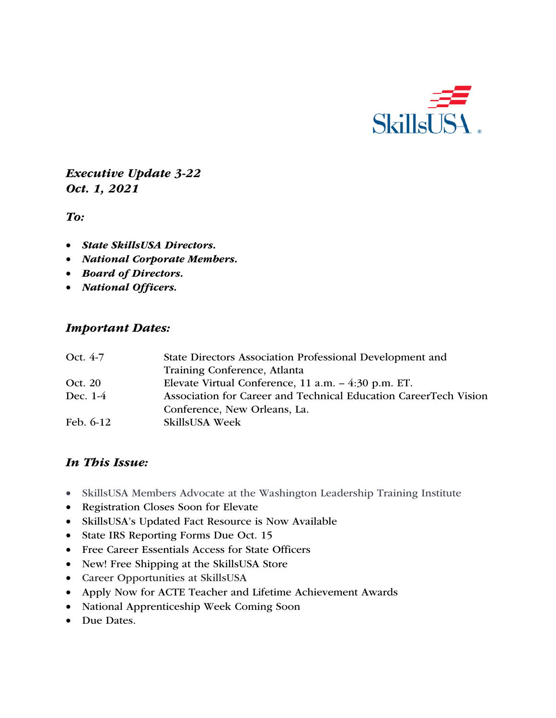

*Executive Update 3-22 Oct. 1, 2021*

*To:* 

- *State SkillsUSA Directors.*
- *National Corporate Members.*
- *Board of Directors.*
- *National Officers.*

#### *Important Dates:*

| Oct. 4-7    | State Directors Association Professional Development and         |
|-------------|------------------------------------------------------------------|
|             | Training Conference, Atlanta                                     |
| Oct. 20     | Elevate Virtual Conference, 11 a.m. - 4:30 p.m. ET.              |
| Dec. 1-4    | Association for Career and Technical Education CareerTech Vision |
|             | Conference, New Orleans, La.                                     |
| Feb. $6-12$ | <b>SkillsUSA Week</b>                                            |

### *In This Issue:*

- SkillsUSA Members Advocate at the Washington Leadership Training Institute
- Registration Closes Soon for Elevate
- SkillsUSA's Updated Fact Resource is Now Available
- State IRS Reporting Forms Due Oct. 15
- Free Career Essentials Access for State Officers
- New! Free Shipping at the SkillsUSA Store
- Career Opportunities at SkillsUSA
- Apply Now for ACTE Teacher and Lifetime Achievement Awards
- National Apprenticeship Week Coming Soon
- Due Dates.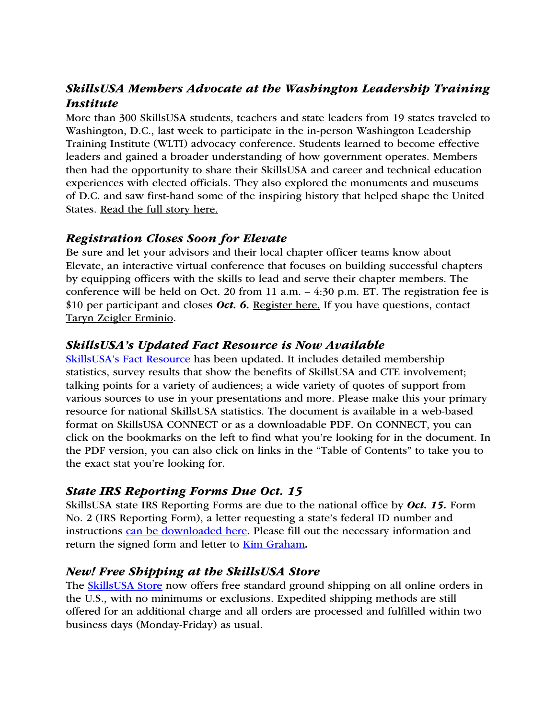# *SkillsUSA Members Advocate at the Washington Leadership Training Institute*

More than 300 SkillsUSA students, teachers and state leaders from 19 states traveled to Washington, D.C., last week to participate in the in-person Washington Leadership Training Institute (WLTI) advocacy conference. Students learned to become effective leaders and gained a broader understanding of how government operates. Members then had the opportunity to share their SkillsUSA and career and technical education experiences with elected officials. They also explored the monuments and museums of D.C. and saw first-hand some of the inspiring history that helped shape the United States. Read the full story here.

### *Registration Closes Soon for Elevate*

Be sure and let your advisors and their local chapter officer teams know about Elevate, an interactive virtual conference that focuses on building successful chapters by equipping officers with the skills to lead and serve their chapter members. The conference will be held on Oct. 20 from 11 a.m. – 4:30 p.m. ET. The registration fee is \$10 per participant and closes *Oct. 6.* Register here. If you have questions, contact Taryn Zeigler Erminio.

#### *SkillsUSA's Updated Fact Resource is Now Available*

SkillsUSA's Fact Resource has been updated. It includes detailed membership statistics, survey results that show the benefits of SkillsUSA and CTE involvement; talking points for a variety of audiences; a wide variety of quotes of support from various sources to use in your presentations and more. Please make this your primary resource for national SkillsUSA statistics. The document is available in a web-based format on SkillsUSA CONNECT or as a downloadable PDF. On CONNECT, you can click on the bookmarks on the left to find what you're looking for in the document. In the PDF version, you can also click on links in the "Table of Contents" to take you to the exact stat you're looking for.

### *State IRS Reporting Forms Due Oct. 15*

SkillsUSA state IRS Reporting Forms are due to the national office by *Oct. 15.* Form No. 2 (IRS Reporting Form), a letter requesting a state's federal ID number and instructions can be downloaded here. Please fill out the necessary information and return the signed form and letter to Kim Graham*.* 

### *New! Free Shipping at the SkillsUSA Store*

The SkillsUSA Store now offers free standard ground shipping on all online orders in the U.S., with no minimums or exclusions. Expedited shipping methods are still offered for an additional charge and all orders are processed and fulfilled within two business days (Monday-Friday) as usual.